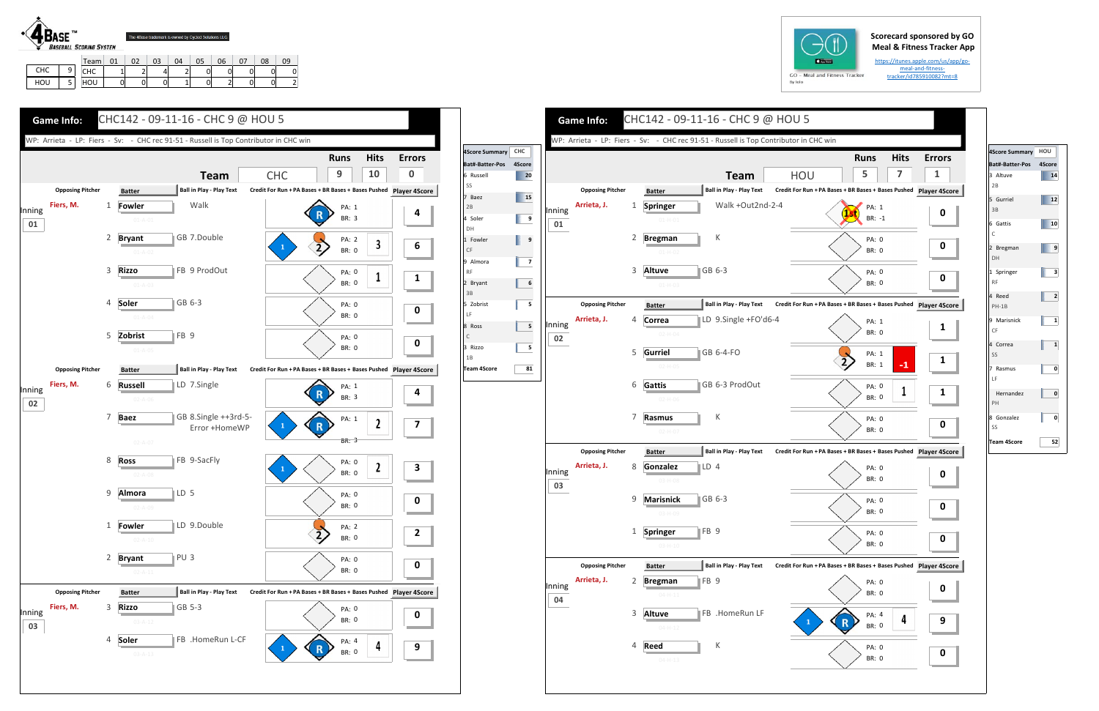## **Scorecard sponsored by GO Meal & Fitness Tracker App**

https://itunes.apple.com/us/app/go‐ meal‐and‐fitness‐tracker/id785910082?mt=8



HOU 5

CHC | 1 | 2 | 4 | 2 | 0 | 0 | 0 | 0 | 0 HOU | 0 | 0 | 0 | 1 | 0 | 2 | 0 | 0 | 2

| $GO - M$<br>By Iolo |
|---------------------|





| 4Score Summary     | HOU            |  |  |
|--------------------|----------------|--|--|
| Bat#-Batter-Pos    | 4Score         |  |  |
| 3 Altuve           | 14             |  |  |
| 2B                 |                |  |  |
| 5 Gurriel          | 12             |  |  |
| 3B                 |                |  |  |
| 6 Gattis           | 10             |  |  |
| C                  |                |  |  |
| 2 Bregman          | 9              |  |  |
| DH                 |                |  |  |
| 1 Springer         | 3              |  |  |
| <b>RF</b>          |                |  |  |
| 4 Reed             | $\overline{a}$ |  |  |
| $PH-1B$            |                |  |  |
| 9 Marisnick        | 1              |  |  |
| CF                 |                |  |  |
| 4 Correa           | 1              |  |  |
| SS                 |                |  |  |
| 7 Rasmus           | 0              |  |  |
| LF                 |                |  |  |
| Hernandez          | 0              |  |  |
| PH                 |                |  |  |
| 8 Gonzalez         | 0              |  |  |
| SS                 |                |  |  |
| <b>Team 4Score</b> | 52             |  |  |
|                    |                |  |  |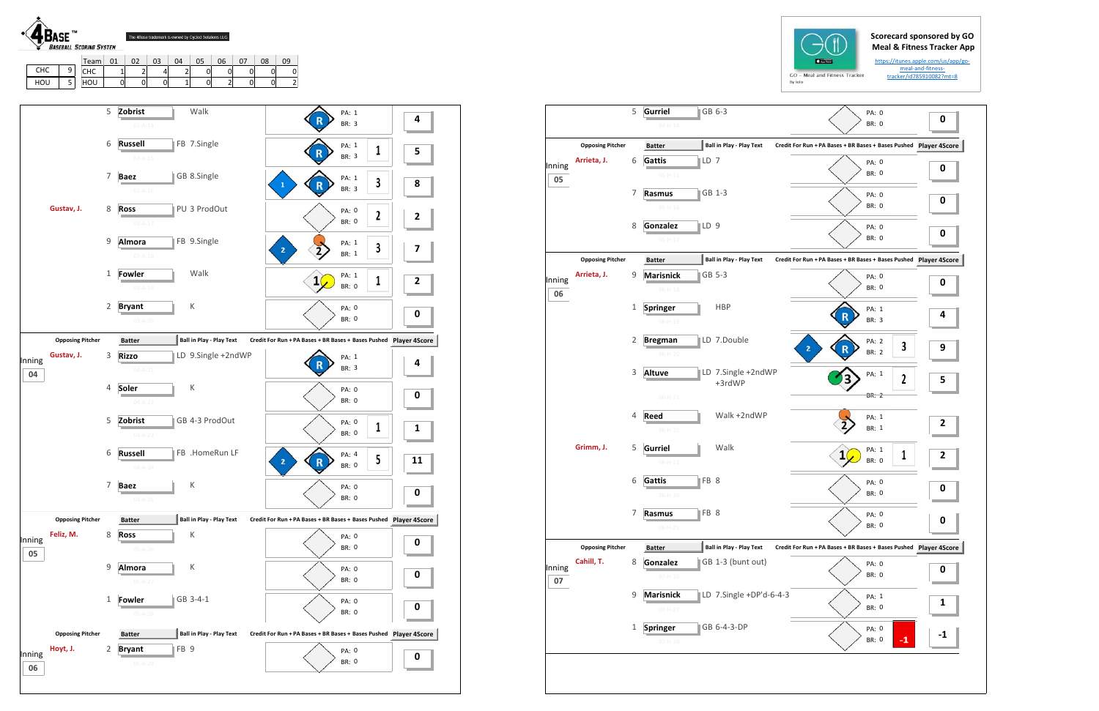## **Scorecard sponsored by GO Meal & Fitness Tracker App**

https://itunes.apple.com/us/app/go‐ meal‐and‐fitness‐ tracker/id785910082?mt=8